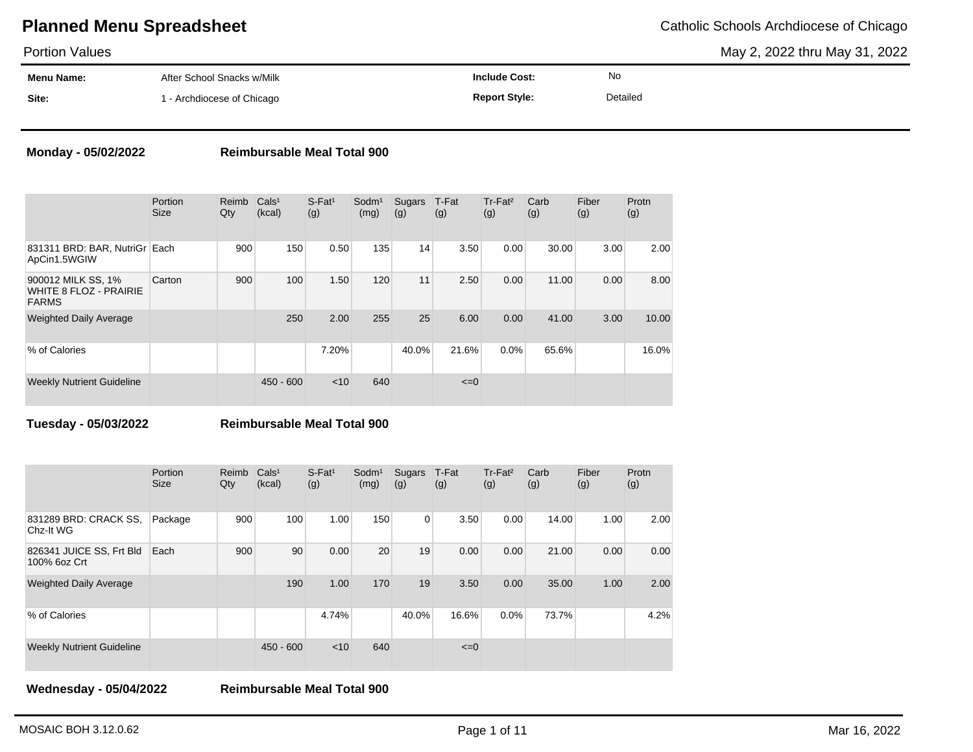Portion Values

May 2, 2022 thru May 31, 2022

| .          |                            |                      |          |  |
|------------|----------------------------|----------------------|----------|--|
| Menu Name: | After School Snacks w/Milk | nclude Cost:         | No       |  |
| Site:      | - Archdiocese of Chicago   | <b>Report Style:</b> | Detailed |  |

### **Monday - 05/02/2022 Reimbursable Meal Total 900**

|                                                                     | Portion<br><b>Size</b> | Reimb<br>Qty | Cals <sup>1</sup><br>(kcal) | $S$ -Fat <sup>1</sup><br>(g) | Sodm <sup>1</sup><br>(mg) | Sugars<br>(g) | T-Fat<br>(g) | $Tr-Fat2$<br>(g) | Carb<br>(g) | Fiber<br>(g) | Protn<br>(g) |
|---------------------------------------------------------------------|------------------------|--------------|-----------------------------|------------------------------|---------------------------|---------------|--------------|------------------|-------------|--------------|--------------|
| 831311 BRD: BAR, NutriGr<br>ApCin1.5WGIW                            | Each                   | 900          | 150                         | 0.50                         | 135                       | 14            | 3.50         | 0.00             | 30.00       | 3.00         | 2.00         |
| 900012 MILK SS, 1%<br><b>WHITE 8 FLOZ - PRAIRIE</b><br><b>FARMS</b> | Carton                 | 900          | 100                         | 1.50                         | 120                       | 11            | 2.50         | 0.00             | 11.00       | 0.00         | 8.00         |
| <b>Weighted Daily Average</b>                                       |                        |              | 250                         | 2.00                         | 255                       | 25            | 6.00         | 0.00             | 41.00       | 3.00         | 10.00        |
| % of Calories                                                       |                        |              |                             | 7.20%                        |                           | 40.0%         | 21.6%        | 0.0%             | 65.6%       |              | 16.0%        |
| <b>Weekly Nutrient Guideline</b>                                    |                        |              | $450 - 600$                 | $<$ 10                       | 640                       |               | $\leq=0$     |                  |             |              |              |

### **Tuesday - 05/03/2022 Reimbursable Meal Total 900**

|                                          | Portion<br><b>Size</b> | Reimb<br>Qty | Cals <sup>1</sup><br>(kcal) | $S$ -Fat <sup>1</sup><br>(g) | Sodm <sup>1</sup><br>(mg) | Sugars<br>(g)  | T-Fat<br>(g) | Tr-Fat <sup>2</sup><br>(g) | Carb<br>(g) | Fiber<br>(g) | Protn<br>(g) |
|------------------------------------------|------------------------|--------------|-----------------------------|------------------------------|---------------------------|----------------|--------------|----------------------------|-------------|--------------|--------------|
| 831289 BRD: CRACK SS.<br>Chz-It WG       | Package                | 900          | 100                         | 1.00                         | 150                       | $\overline{0}$ | 3.50         | 0.00                       | 14.00       | 1.00         | 2.00         |
| 826341 JUICE SS, Frt Bld<br>100% 6oz Crt | Each                   | 900          | 90                          | 0.00                         | 20                        | 19             | 0.00         | 0.00                       | 21.00       | 0.00         | 0.00         |
| <b>Weighted Daily Average</b>            |                        |              | 190                         | 1.00                         | 170                       | 19             | 3.50         | 0.00                       | 35.00       | 1.00         | 2.00         |
| % of Calories                            |                        |              |                             | 4.74%                        |                           | 40.0%          | 16.6%        | 0.0%                       | 73.7%       |              | 4.2%         |
| <b>Weekly Nutrient Guideline</b>         |                        |              | $450 - 600$                 | $<$ 10                       | 640                       |                | $\leq=0$     |                            |             |              |              |

**Wednesday - 05/04/2022 Reimbursable Meal Total 900**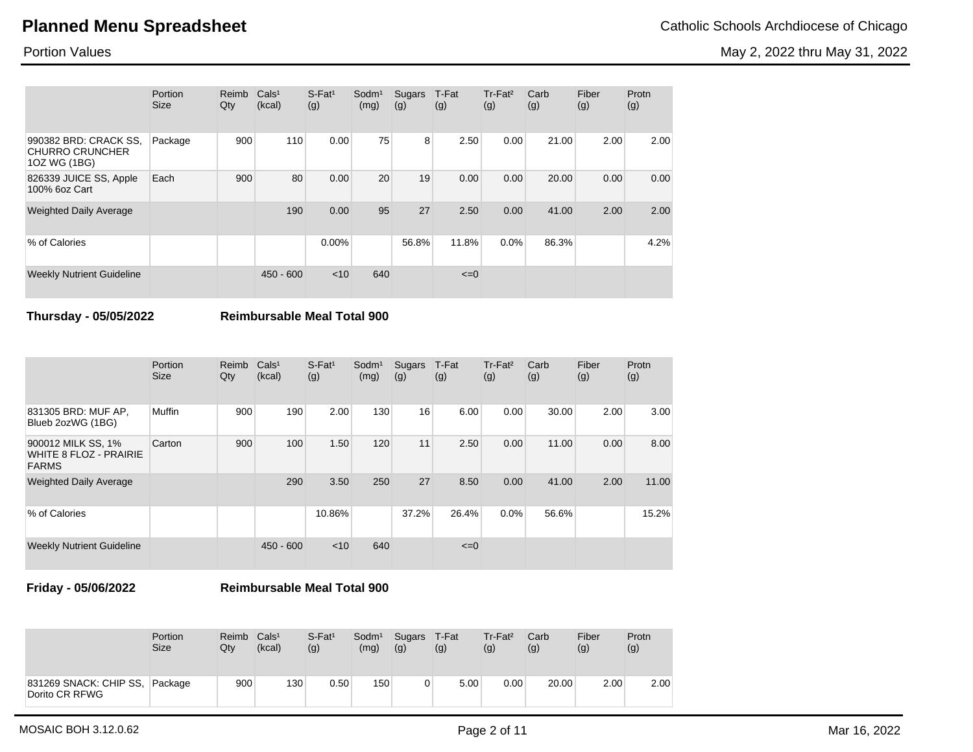May 2, 2022 thru May 31, 2022

Portion Values

|                                                                 | <b>Portion</b><br><b>Size</b> | Reimb<br>Qty | Cals <sup>1</sup><br>(kcal) | $S$ -Fat <sup>1</sup><br>(g) | Sodm <sup>1</sup><br>(mg) | Sugars<br>(g) | T-Fat<br>(g) | Tr-Fat <sup>2</sup><br>(g) | Carb<br>(g) | Fiber<br>(g) | Protn<br>(g) |
|-----------------------------------------------------------------|-------------------------------|--------------|-----------------------------|------------------------------|---------------------------|---------------|--------------|----------------------------|-------------|--------------|--------------|
| 990382 BRD: CRACK SS,<br><b>CHURRO CRUNCHER</b><br>10Z WG (1BG) | Package                       | 900          | 110                         | 0.00                         | 75                        | 8             | 2.50         | 0.00                       | 21.00       | 2.00         | 2.00         |
| 826339 JUICE SS, Apple<br>100% 6oz Cart                         | Each                          | 900          | 80                          | 0.00                         | 20                        | 19            | 0.00         | 0.00                       | 20.00       | 0.00         | 0.00         |
| <b>Weighted Daily Average</b>                                   |                               |              | 190                         | 0.00                         | 95                        | 27            | 2.50         | 0.00                       | 41.00       | 2.00         | 2.00         |
| % of Calories                                                   |                               |              |                             | $0.00\%$                     |                           | 56.8%         | 11.8%        | 0.0%                       | 86.3%       |              | 4.2%         |
| <b>Weekly Nutrient Guideline</b>                                |                               |              | $450 - 600$                 | < 10                         | 640                       |               | $\leq=0$     |                            |             |              |              |

### **Thursday - 05/05/2022 Reimbursable Meal Total 900**

|                                                                     | Portion<br><b>Size</b> | Reimb<br>Qty | Cals <sup>1</sup><br>(kcal) | $S-Fat1$<br>(g) | Sodm <sup>1</sup><br>(mg) | Sugars<br>(g) | T-Fat<br>(g) | Tr-Fat <sup>2</sup><br>(g) | Carb<br>(g) | Fiber<br>(g) | Protn<br>(g) |
|---------------------------------------------------------------------|------------------------|--------------|-----------------------------|-----------------|---------------------------|---------------|--------------|----------------------------|-------------|--------------|--------------|
| 831305 BRD: MUF AP,<br>Blueb 2ozWG (1BG)                            | Muffin                 | 900          | 190                         | 2.00            | 130                       | 16            | 6.00         | 0.00                       | 30.00       | 2.00         | 3.00         |
| 900012 MILK SS, 1%<br><b>WHITE 8 FLOZ - PRAIRIE</b><br><b>FARMS</b> | Carton                 | 900          | 100                         | 1.50            | 120                       | 11            | 2.50         | 0.00                       | 11.00       | 0.00         | 8.00         |
| <b>Weighted Daily Average</b>                                       |                        |              | 290                         | 3.50            | 250                       | 27            | 8.50         | 0.00                       | 41.00       | 2.00         | 11.00        |
| % of Calories                                                       |                        |              |                             | 10.86%          |                           | 37.2%         | 26.4%        | $0.0\%$                    | 56.6%       |              | 15.2%        |
| <b>Weekly Nutrient Guideline</b>                                    |                        |              | $450 - 600$                 | $<$ 10          | 640                       |               | $\leq=0$     |                            |             |              |              |

**Friday - 05/06/2022 Reimbursable Meal Total 900**

|                                          | Portion     | Reimb            | Cals <sup>1</sup> | $S$ -Fat <sup>1</sup> | Sodm <sup>1</sup> | Sugars | T-Fat | Tr-Fat <sup>2</sup> | Carb  | Fiber | Protn |
|------------------------------------------|-------------|------------------|-------------------|-----------------------|-------------------|--------|-------|---------------------|-------|-------|-------|
|                                          | <b>Size</b> | Qtv              | (kcal)            | (g)                   | (mg)              | (g)    | (g)   | (g)                 | (g)   | (g)   | (g)   |
| 831269 SNACK: CHIP SS,<br>Dorito CR RFWG | Package     | 900 <sup>1</sup> | 130               | 0.50                  | 150               | 0      | 5.00  | 0.00                | 20.00 | 2.00  | 2.00  |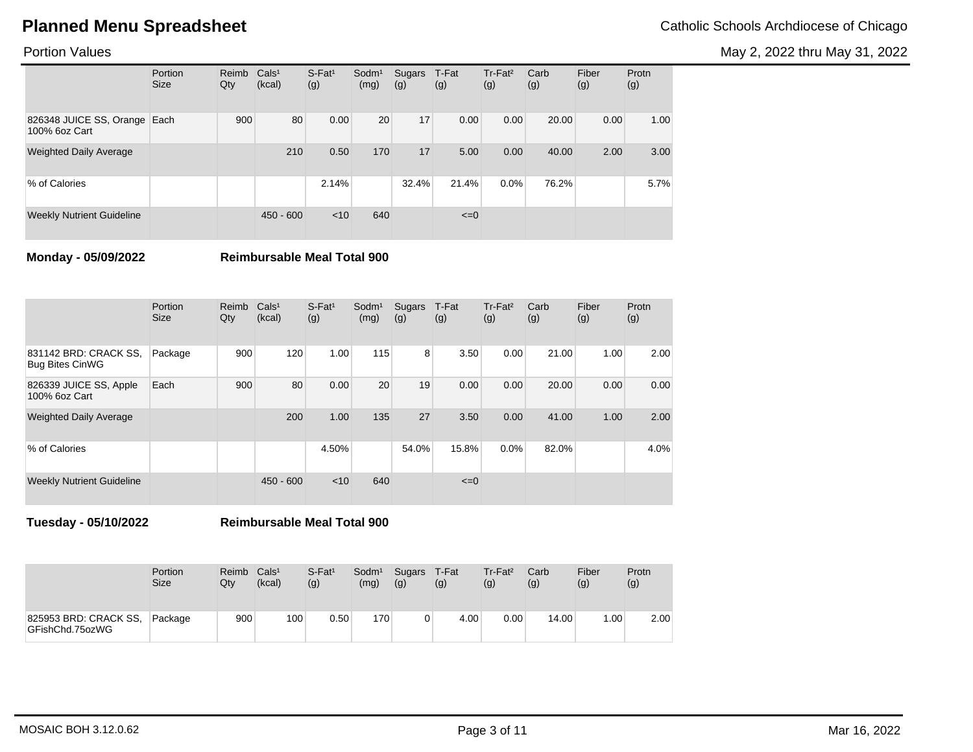May 2, 2022 thru May 31, 2022

## Portion Values

|                                               | Portion<br><b>Size</b> | Reimb<br>Qty | Cals <sup>1</sup><br>(kcal) | $S$ -Fat <sup>1</sup><br>(g) | Sodm <sup>1</sup><br>(mg) | Sugars<br>(g) | T-Fat<br>(g) | $Tr-Fat2$<br>(g) | Carb<br>(g) | Fiber<br>(g) | Protn<br>(g) |
|-----------------------------------------------|------------------------|--------------|-----------------------------|------------------------------|---------------------------|---------------|--------------|------------------|-------------|--------------|--------------|
| 826348 JUICE SS, Orange Each<br>100% 6oz Cart |                        | 900          | 80                          | 0.00                         | 20                        | 17            | 0.00         | 0.00             | 20.00       | 0.00         | 1.00         |
| <b>Weighted Daily Average</b>                 |                        |              | 210                         | 0.50                         | 170                       | 17            | 5.00         | 0.00             | 40.00       | 2.00         | 3.00         |
| % of Calories                                 |                        |              |                             | 2.14%                        |                           | 32.4%         | 21.4%        | $0.0\%$          | 76.2%       |              | 5.7%         |
| <b>Weekly Nutrient Guideline</b>              |                        |              | $450 - 600$                 | < 10                         | 640                       |               | $\leq=0$     |                  |             |              |              |

**Monday - 05/09/2022 Reimbursable Meal Total 900**

|                                                 | Portion<br><b>Size</b> | Reimb<br>Qty | Cals <sup>1</sup><br>(kcal) | $S$ -Fat <sup>1</sup><br>(g) | Sodm <sup>1</sup><br>(mg) | Sugars<br>(g) | T-Fat<br>(g) | $Tr-Fat2$<br>(g) | Carb<br>(g) | Fiber<br>(g) | Protn<br>(g) |
|-------------------------------------------------|------------------------|--------------|-----------------------------|------------------------------|---------------------------|---------------|--------------|------------------|-------------|--------------|--------------|
| 831142 BRD: CRACK SS,<br><b>Bug Bites CinWG</b> | Package                | 900          | 120                         | 1.00                         | 115                       | 8             | 3.50         | 0.00             | 21.00       | 1.00         | 2.00         |
| 826339 JUICE SS, Apple<br>100% 6oz Cart         | Each                   | 900          | 80                          | 0.00                         | 20                        | 19            | 0.00         | 0.00             | 20.00       | 0.00         | 0.00         |
| <b>Weighted Daily Average</b>                   |                        |              | 200                         | 1.00                         | 135                       | 27            | 3.50         | 0.00             | 41.00       | 1.00         | 2.00         |
| % of Calories                                   |                        |              |                             | 4.50%                        |                           | 54.0%         | 15.8%        | 0.0%             | 82.0%       |              | 4.0%         |
| <b>Weekly Nutrient Guideline</b>                |                        |              | $450 - 600$                 | < 10                         | 640                       |               | $\leq=0$     |                  |             |              |              |

**Tuesday - 05/10/2022 Reimbursable Meal Total 900**

|                                          | Portion<br><b>Size</b> | Reimb<br>Qty | Cals <sup>1</sup><br>(kcal) | $S$ -Fat <sup>1</sup><br>(g) | Sodm <sup>1</sup><br>(mg) | Sugars<br>(g) | T-Fat<br>(g) | $Tr-Fat2$<br>(g) | Carb<br>(g) | Fiber<br>(g) | Protn<br>(g) |
|------------------------------------------|------------------------|--------------|-----------------------------|------------------------------|---------------------------|---------------|--------------|------------------|-------------|--------------|--------------|
| 825953 BRD: CRACK SS,<br>GFishChd.75ozWG | Package                | 900          | 100                         | 0.50                         | 170                       |               | 4.00         | 0.00             | 14.00       | .00          | 2.00         |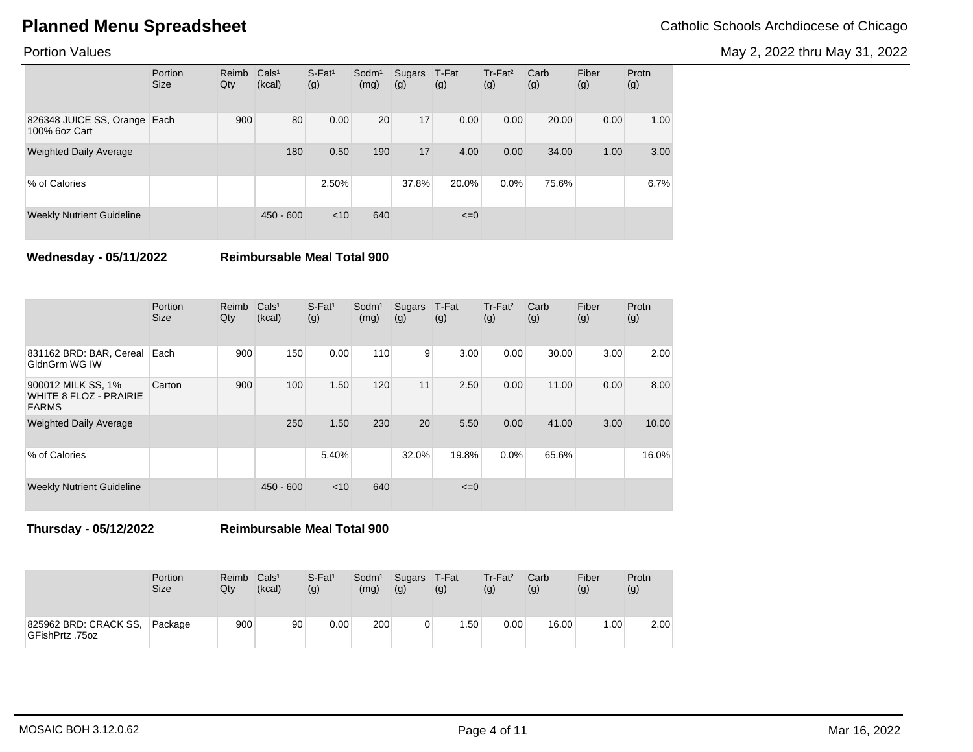May 2, 2022 thru May 31, 2022

## Portion Values

|                                               | Portion<br><b>Size</b> | Reimb<br>Qty | Cals <sup>1</sup><br>(kcal) | $S$ -Fat <sup>1</sup><br>(g) | Sodm <sup>1</sup><br>(mg) | Sugars<br>(g) | T-Fat<br>(g) | Tr-Fat <sup>2</sup><br>(g) | Carb<br>(g) | Fiber<br>(g) | Protn<br>(g) |
|-----------------------------------------------|------------------------|--------------|-----------------------------|------------------------------|---------------------------|---------------|--------------|----------------------------|-------------|--------------|--------------|
| 826348 JUICE SS, Orange Each<br>100% 6oz Cart |                        | 900          | 80                          | 0.00                         | 20                        | 17            | 0.00         | 0.00                       | 20.00       | 0.00         | 1.00         |
| <b>Weighted Daily Average</b>                 |                        |              | 180                         | 0.50                         | 190                       | 17            | 4.00         | 0.00                       | 34.00       | 1.00         | 3.00         |
| % of Calories                                 |                        |              |                             | 2.50%                        |                           | 37.8%         | 20.0%        | $0.0\%$                    | 75.6%       |              | 6.7%         |
| <b>Weekly Nutrient Guideline</b>              |                        |              | $450 - 600$                 | $<$ 10                       | 640                       |               | $\leq=0$     |                            |             |              |              |

**Wednesday - 05/11/2022 Reimbursable Meal Total 900**

|                                                              | Portion<br><b>Size</b> | Reimb<br>Qty | Cals <sup>1</sup><br>(kcal) | $S$ -Fat <sup>1</sup><br>(g) | Sodm <sup>1</sup><br>(mg) | Sugars<br>(g) | T-Fat<br>(g) | $Tr-Fat2$<br>(g) | Carb<br>(g) | Fiber<br>(g) | Protn<br>(g) |
|--------------------------------------------------------------|------------------------|--------------|-----------------------------|------------------------------|---------------------------|---------------|--------------|------------------|-------------|--------------|--------------|
| 831162 BRD: BAR, Cereal<br>GldnGrm WG IW                     | Each                   | 900          | 150                         | 0.00                         | 110                       | 9             | 3.00         | 0.00             | 30.00       | 3.00         | 2.00         |
| 900012 MILK SS, 1%<br>WHITE 8 FLOZ - PRAIRIE<br><b>FARMS</b> | Carton                 | 900          | 100                         | 1.50                         | 120                       | 11            | 2.50         | 0.00             | 11.00       | 0.00         | 8.00         |
| <b>Weighted Daily Average</b>                                |                        |              | 250                         | 1.50                         | 230                       | 20            | 5.50         | 0.00             | 41.00       | 3.00         | 10.00        |
| % of Calories                                                |                        |              |                             | 5.40%                        |                           | 32.0%         | 19.8%        | 0.0%             | 65.6%       |              | 16.0%        |
| <b>Weekly Nutrient Guideline</b>                             |                        |              | $450 - 600$                 | $<$ 10                       | 640                       |               | $\leq=0$     |                  |             |              |              |

**Thursday - 05/12/2022 Reimbursable Meal Total 900**

|                                          | Portion     | Reimb | Cals <sup>1</sup> | $S$ -Fat <sup>1</sup> | Sodm <sup>1</sup> | Sugars | T-Fat            | $Tr-Fat2$ | Carb  | Fiber | Protn |
|------------------------------------------|-------------|-------|-------------------|-----------------------|-------------------|--------|------------------|-----------|-------|-------|-------|
|                                          | <b>Size</b> | Qtv   | (kcal)            | (g)                   | (mg)              | (g)    | (g)              | (g)       | (g)   | (g)   | (g)   |
| 825962 BRD: CRACK SS,<br>GFishPrtz .75oz | Package     | 900   | 90 <sub>1</sub>   | $0.00\,$              | 200               |        | .50 <sub>1</sub> | 0.00      | 16.00 | .00.  | 2.00  |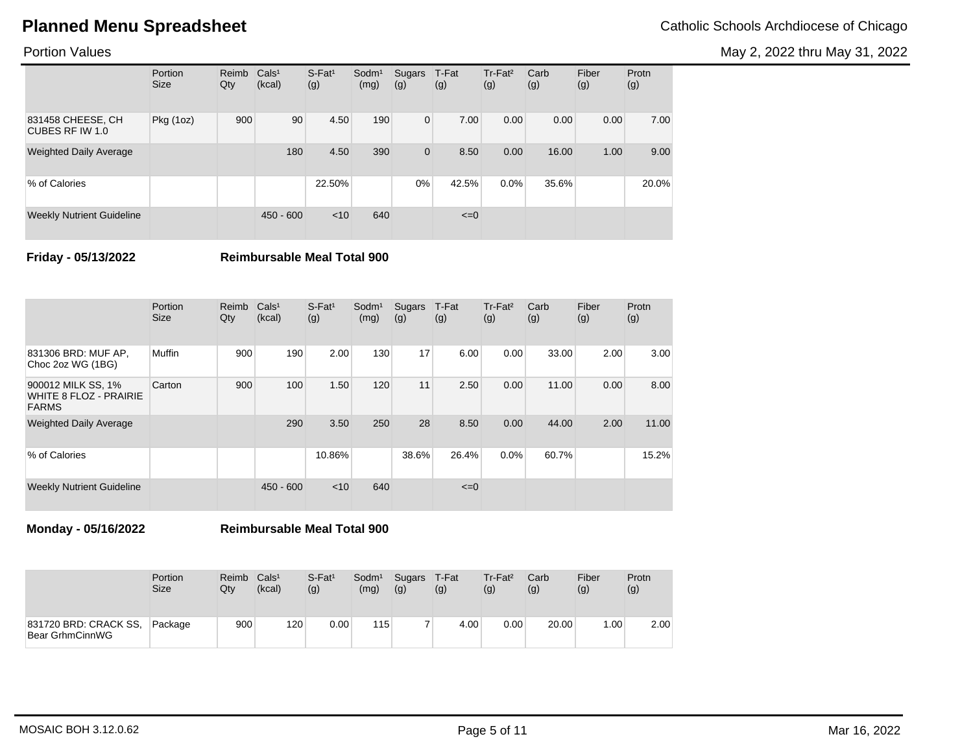May 2, 2022 thru May 31, 2022

## Portion Values

|                                      | Portion<br><b>Size</b> | Reimb<br>Qty | Cals <sup>1</sup><br>(kcal) | $S$ -Fat <sup>1</sup><br>(g) | Sodm <sup>1</sup><br>(mg) | Sugars<br>(g) | T-Fat<br>(g) | Tr-Fat <sup>2</sup><br>(g) | Carb<br>(g) | Fiber<br>(g) | Protn<br>(g) |
|--------------------------------------|------------------------|--------------|-----------------------------|------------------------------|---------------------------|---------------|--------------|----------------------------|-------------|--------------|--------------|
| 831458 CHEESE, CH<br>CUBES RF IW 1.0 | Pkg(1oz)               | 900          | 90                          | 4.50                         | 190                       | $\mathbf{0}$  | 7.00         | 0.00                       | 0.00        | 0.00         | 7.00         |
| <b>Weighted Daily Average</b>        |                        |              | 180                         | 4.50                         | 390                       | 0             | 8.50         | 0.00                       | 16.00       | 1.00         | 9.00         |
| % of Calories                        |                        |              |                             | 22.50%                       |                           | $0\%$         | 42.5%        | 0.0%                       | 35.6%       |              | 20.0%        |
| <b>Weekly Nutrient Guideline</b>     |                        |              | $450 - 600$                 | < 10                         | 640                       |               | $\leq=0$     |                            |             |              |              |

**Friday - 05/13/2022 Reimbursable Meal Total 900**

|                                                              | Portion<br><b>Size</b> | Reimb<br>Qty | Cals <sup>1</sup><br>(kcal) | $S$ -Fat <sup>1</sup><br>(g) | Sodm <sup>1</sup><br>(mg) | Sugars<br>(g) | T-Fat<br>(g) | Tr-Fat <sup>2</sup><br>(g) | Carb<br>(g) | Fiber<br>(g) | Protn<br>(g) |
|--------------------------------------------------------------|------------------------|--------------|-----------------------------|------------------------------|---------------------------|---------------|--------------|----------------------------|-------------|--------------|--------------|
| 831306 BRD: MUF AP,<br>Choc 2oz WG (1BG)                     | Muffin                 | 900          | 190                         | 2.00                         | 130                       | 17            | 6.00         | 0.00                       | 33.00       | 2.00         | 3.00         |
| 900012 MILK SS, 1%<br>WHITE 8 FLOZ - PRAIRIE<br><b>FARMS</b> | Carton                 | 900          | 100                         | 1.50                         | 120                       | 11            | 2.50         | 0.00                       | 11.00       | 0.00         | 8.00         |
| <b>Weighted Daily Average</b>                                |                        |              | 290                         | 3.50                         | 250                       | 28            | 8.50         | 0.00                       | 44.00       | 2.00         | 11.00        |
| % of Calories                                                |                        |              |                             | 10.86%                       |                           | 38.6%         | 26.4%        | 0.0%                       | 60.7%       |              | 15.2%        |
| <b>Weekly Nutrient Guideline</b>                             |                        |              | $450 - 600$                 | $<$ 10                       | 640                       |               | $\leq=0$     |                            |             |              |              |

**Monday - 05/16/2022 Reimbursable Meal Total 900**

|                                          | Portion     | Reimb | Cals <sup>1</sup> | $S$ -Fat <sup>1</sup> | Sodm <sup>1</sup> | Sugars | T-Fat | $Tr-Fat2$ | Carb  | Fiber | Protn |
|------------------------------------------|-------------|-------|-------------------|-----------------------|-------------------|--------|-------|-----------|-------|-------|-------|
|                                          | <b>Size</b> | Qtv   | (kcal)            | (g)                   | (mg)              | (g)    | (g)   | (g)       | (g)   | (g)   | (g)   |
| 831720 BRD: CRACK SS,<br>Bear GrhmCinnWG | Package     | 900   | 120               | $0.00\,$              | 115               |        | 4.00  | 0.00      | 20.00 | .00.  | 2.00  |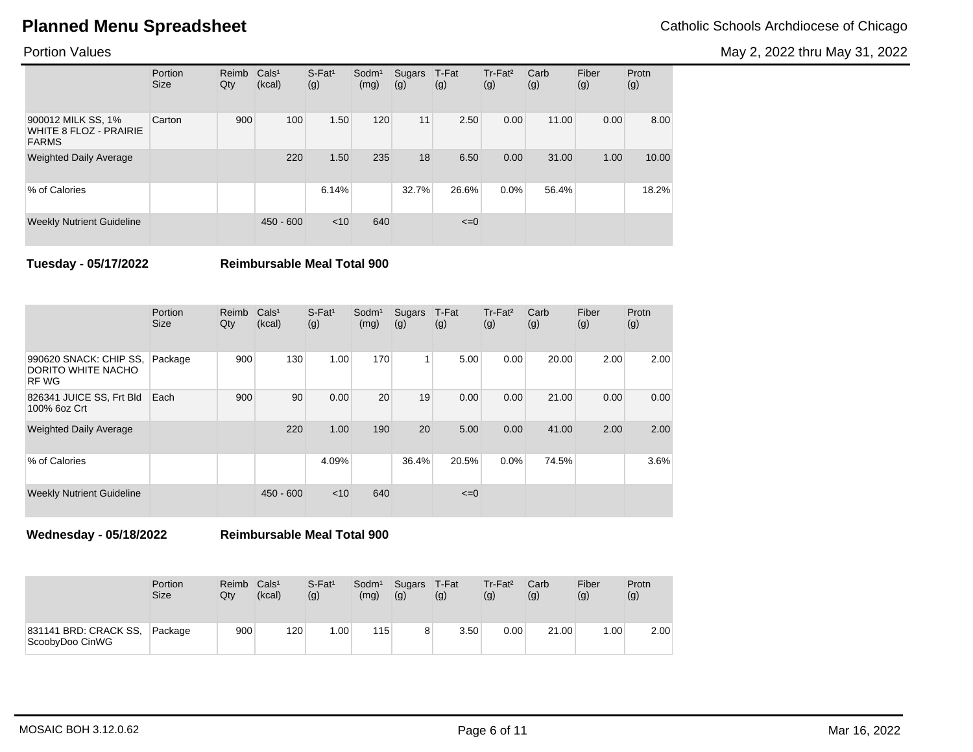May 2, 2022 thru May 31, 2022

## Portion Values

|                                                                     | Portion<br><b>Size</b> | Reimb<br>Qty | Cals <sup>1</sup><br>(kcal) | $S-Fat1$<br>(g) | Sodm <sup>1</sup><br>(mg) | Sugars<br>(g) | T-Fat<br>(g) | Tr-Fat <sup>2</sup><br>(g) | Carb<br>(g) | Fiber<br>(g) | Protn<br>(g) |
|---------------------------------------------------------------------|------------------------|--------------|-----------------------------|-----------------|---------------------------|---------------|--------------|----------------------------|-------------|--------------|--------------|
| 900012 MILK SS, 1%<br><b>WHITE 8 FLOZ - PRAIRIE</b><br><b>FARMS</b> | Carton                 | 900          | 100                         | 1.50            | 120                       | 11            | 2.50         | 0.00                       | 11.00       | 0.00         | 8.00         |
| <b>Weighted Daily Average</b>                                       |                        |              | 220                         | 1.50            | 235                       | 18            | 6.50         | 0.00                       | 31.00       | 1.00         | 10.00        |
| % of Calories                                                       |                        |              |                             | 6.14%           |                           | 32.7%         | 26.6%        | 0.0%                       | 56.4%       |              | 18.2%        |
| <b>Weekly Nutrient Guideline</b>                                    |                        |              | $450 - 600$                 | < 10            | 640                       |               | $\leq=0$     |                            |             |              |              |

**Tuesday - 05/17/2022 Reimbursable Meal Total 900**

|                                                             | Portion<br><b>Size</b> | Reimb<br>Qty | Cals <sup>1</sup><br>(kcal) | $S$ -Fat <sup>1</sup><br>(g) | Sodm <sup>1</sup><br>(mg) | Sugars<br>(g) | T-Fat<br>(g) | Tr-Fat <sup>2</sup><br>(g) | Carb<br>(g) | Fiber<br>(g) | Protn<br>(g) |
|-------------------------------------------------------------|------------------------|--------------|-----------------------------|------------------------------|---------------------------|---------------|--------------|----------------------------|-------------|--------------|--------------|
| 990620 SNACK: CHIP SS,<br>DORITO WHITE NACHO<br><b>RFWG</b> | Package                | 900          | 130                         | 1.00                         | 170                       | 1             | 5.00         | 0.00                       | 20.00       | 2.00         | 2.00         |
| 826341 JUICE SS, Frt Bld<br>100% 6oz Crt                    | Each                   | 900          | 90                          | 0.00                         | 20                        | 19            | 0.00         | 0.00                       | 21.00       | 0.00         | 0.00         |
| <b>Weighted Daily Average</b>                               |                        |              | 220                         | 1.00                         | 190                       | 20            | 5.00         | 0.00                       | 41.00       | 2.00         | 2.00         |
| % of Calories                                               |                        |              |                             | 4.09%                        |                           | 36.4%         | 20.5%        | 0.0%                       | 74.5%       |              | 3.6%         |
| <b>Weekly Nutrient Guideline</b>                            |                        |              | $450 - 600$                 | $<$ 10                       | 640                       |               | $\leq=0$     |                            |             |              |              |

**Wednesday - 05/18/2022 Reimbursable Meal Total 900**

|                                          | Portion<br>Size | Reimb<br>Qtv | Cals <sup>1</sup><br>(kcal) | $S$ -Fat <sup>1</sup><br>(g) | Sodm <sup>1</sup><br>(mg) | Sugars T-Fat<br>(g) | (g)  | Tr-Fat <sup>2</sup><br>(g) | Carb<br>(g) | Fiber<br>(g) | Protn<br>(g) |
|------------------------------------------|-----------------|--------------|-----------------------------|------------------------------|---------------------------|---------------------|------|----------------------------|-------------|--------------|--------------|
| 831141 BRD: CRACK SS,<br>ScoobyDoo CinWG | Package         | 900          | 120                         | .00.                         | 115                       | 8                   | 3.50 | 0.00                       | 21.00       | 1.00         | 2.00         |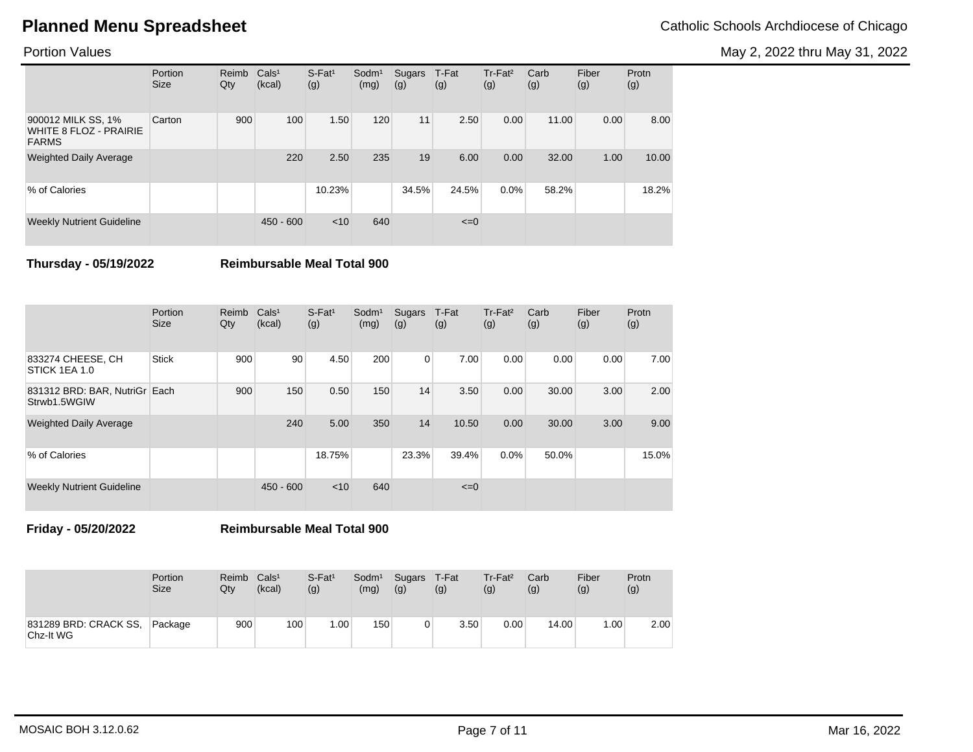May 2, 2022 thru May 31, 2022

## Portion Values

|                                                                     | Portion<br><b>Size</b> | Reimb<br>Qty | Cals <sup>1</sup><br>(kcal) | $S$ -Fat <sup>1</sup><br>(g) | $S$ odm $1$<br>(mg) | Sugars<br>(g) | T-Fat<br>(g) | Tr-Fat <sup>2</sup><br>(g) | Carb<br>(g) | Fiber<br>(g) | Protn<br>(g) |
|---------------------------------------------------------------------|------------------------|--------------|-----------------------------|------------------------------|---------------------|---------------|--------------|----------------------------|-------------|--------------|--------------|
| 900012 MILK SS, 1%<br><b>WHITE 8 FLOZ - PRAIRIE</b><br><b>FARMS</b> | Carton                 | 900          | 100                         | 1.50                         | 120                 | 11            | 2.50         | 0.00                       | 11.00       | 0.00         | 8.00         |
| <b>Weighted Daily Average</b>                                       |                        |              | 220                         | 2.50                         | 235                 | 19            | 6.00         | 0.00                       | 32.00       | 1.00         | 10.00        |
| % of Calories                                                       |                        |              |                             | 10.23%                       |                     | 34.5%         | 24.5%        | $0.0\%$                    | 58.2%       |              | 18.2%        |
| <b>Weekly Nutrient Guideline</b>                                    |                        |              | $450 - 600$                 | < 10                         | 640                 |               | $\leq=0$     |                            |             |              |              |

**Thursday - 05/19/2022 Reimbursable Meal Total 900**

|                                               | Portion<br><b>Size</b> | Reimb<br>Qty | Cals <sup>1</sup><br>(kcal) | $S$ -Fat <sup>1</sup><br>(g) | Sodm <sup>1</sup><br>(mg) | Sugars<br>(g) | T-Fat<br>(g) | Tr-Fat <sup>2</sup><br>(g) | Carb<br>(g) | Fiber<br>(g) | Protn<br>(g) |
|-----------------------------------------------|------------------------|--------------|-----------------------------|------------------------------|---------------------------|---------------|--------------|----------------------------|-------------|--------------|--------------|
| 833274 CHEESE, CH<br>STICK 1EA 1.0            | <b>Stick</b>           | 900          | 90                          | 4.50                         | 200                       | 0             | 7.00         | 0.00                       | 0.00        | 0.00         | 7.00         |
| 831312 BRD: BAR, NutriGr Each<br>Strwb1.5WGIW |                        | 900          | 150                         | 0.50                         | 150                       | 14            | 3.50         | 0.00                       | 30.00       | 3.00         | 2.00         |
| <b>Weighted Daily Average</b>                 |                        |              | 240                         | 5.00                         | 350                       | 14            | 10.50        | 0.00                       | 30.00       | 3.00         | 9.00         |
| % of Calories                                 |                        |              |                             | 18.75%                       |                           | 23.3%         | 39.4%        | 0.0%                       | 50.0%       |              | 15.0%        |
| <b>Weekly Nutrient Guideline</b>              |                        |              | $450 - 600$                 | $<$ 10                       | 640                       |               | $\leq=0$     |                            |             |              |              |

**Friday - 05/20/2022 Reimbursable Meal Total 900**

|                                    | Portion     | Reimb | Cals <sup>1</sup> | $S$ -Fat <sup>1</sup> | Sodm <sup>1</sup> | Sugars | T-Fat | $Tr-Fat2$ | Carb  | Fiber | Protn |
|------------------------------------|-------------|-------|-------------------|-----------------------|-------------------|--------|-------|-----------|-------|-------|-------|
|                                    | <b>Size</b> | Qtv   | (kcal)            | (g)                   | (mg)              | (g)    | (g)   | (g)       | (g)   | (g)   | (g)   |
| 831289 BRD: CRACK SS,<br>Chz-It WG | Package     | 900   | 100               | .00 <sub>1</sub>      | 150               | ∩      | 3.50  | 0.00      | 14.00 | .00.  | 2.00  |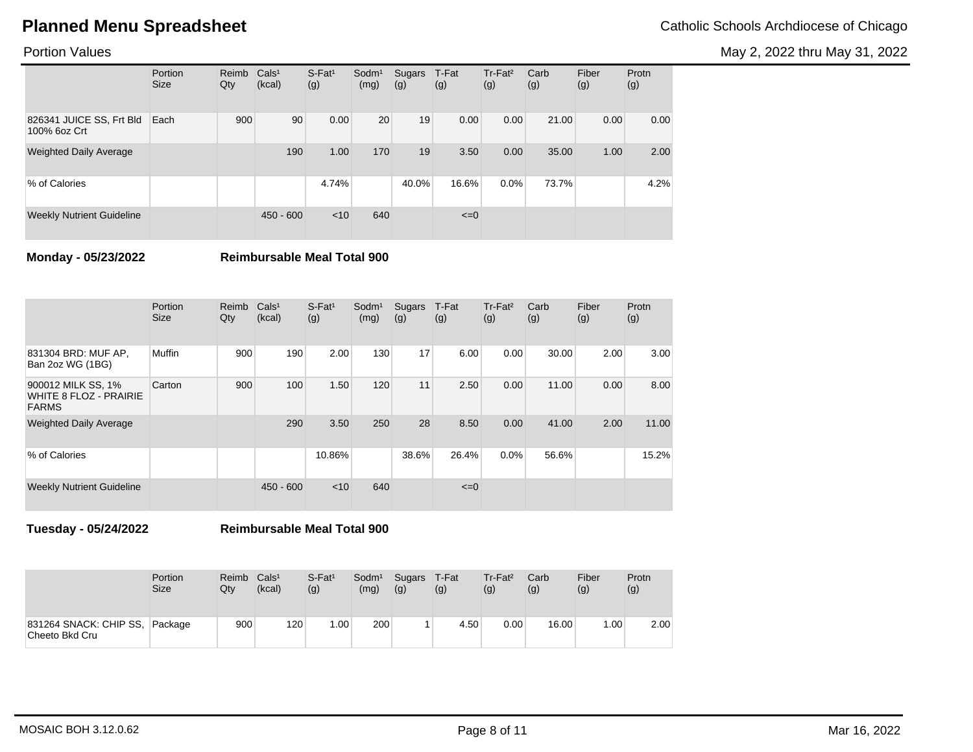May 2, 2022 thru May 31, 2022

## Portion Values

|                                          | Portion<br><b>Size</b> | Reimb<br>Qty | Cals <sup>1</sup><br>(kcal) | $S$ -Fat <sup>1</sup><br>(g) | Sodm <sup>1</sup><br>(mg) | Sugars<br>(g) | T-Fat<br>(g) | Tr-Fat <sup>2</sup><br>(g) | Carb<br>(g) | Fiber<br>(g) | Protn<br>(g) |
|------------------------------------------|------------------------|--------------|-----------------------------|------------------------------|---------------------------|---------------|--------------|----------------------------|-------------|--------------|--------------|
| 826341 JUICE SS, Frt Bld<br>100% 6oz Crt | Each                   | 900          | 90                          | 0.00                         | 20                        | 19            | 0.00         | 0.00                       | 21.00       | 0.00         | 0.00         |
| <b>Weighted Daily Average</b>            |                        |              | 190                         | 1.00                         | 170                       | 19            | 3.50         | 0.00                       | 35.00       | 1.00         | 2.00         |
| % of Calories                            |                        |              |                             | 4.74%                        |                           | 40.0%         | 16.6%        | $0.0\%$                    | 73.7%       |              | 4.2%         |
| <b>Weekly Nutrient Guideline</b>         |                        |              | $450 - 600$                 | < 10                         | 640                       |               | $\leq=0$     |                            |             |              |              |

**Monday - 05/23/2022 Reimbursable Meal Total 900**

|                                                              | Portion<br><b>Size</b> | Reimb<br>Qty | Cals <sup>1</sup><br>(kcal) | $S$ -Fat <sup>1</sup><br>(g) | Sodm <sup>1</sup><br>(mg) | Sugars<br>(g) | T-Fat<br>(g) | $Tr-Fat2$<br>(g) | Carb<br>(g) | Fiber<br>(g) | Protn<br>(g) |
|--------------------------------------------------------------|------------------------|--------------|-----------------------------|------------------------------|---------------------------|---------------|--------------|------------------|-------------|--------------|--------------|
| 831304 BRD: MUF AP,<br>Ban 2oz WG (1BG)                      | Muffin                 | 900          | 190                         | 2.00                         | 130                       | 17            | 6.00         | 0.00             | 30.00       | 2.00         | 3.00         |
| 900012 MILK SS, 1%<br>WHITE 8 FLOZ - PRAIRIE<br><b>FARMS</b> | Carton                 | 900          | 100                         | 1.50                         | 120                       | 11            | 2.50         | 0.00             | 11.00       | 0.00         | 8.00         |
| <b>Weighted Daily Average</b>                                |                        |              | 290                         | 3.50                         | 250                       | 28            | 8.50         | 0.00             | 41.00       | 2.00         | 11.00        |
| % of Calories                                                |                        |              |                             | 10.86%                       |                           | 38.6%         | 26.4%        | 0.0%             | 56.6%       |              | 15.2%        |
| <b>Weekly Nutrient Guideline</b>                             |                        |              | $450 - 600$                 | $<$ 10                       | 640                       |               | $\leq=0$     |                  |             |              |              |

**Tuesday - 05/24/2022 Reimbursable Meal Total 900**

|                                          | Portion<br><b>Size</b> | Reimb<br>Qty | Cals <sup>1</sup><br>(kcal) | $S$ -Fat <sup>1</sup><br>(g) | Sodm <sup>1</sup><br>(mg) | Sugars T-Fat<br>(g) | (g)  | Tr-Fat <sup>2</sup><br>(g) | Carb<br>(g) | Fiber<br>(g) | Protn<br>(g) |
|------------------------------------------|------------------------|--------------|-----------------------------|------------------------------|---------------------------|---------------------|------|----------------------------|-------------|--------------|--------------|
| 831264 SNACK: CHIP SS,<br>Cheeto Bkd Cru | Package                | 900          | 120                         | 1.00                         | 200                       |                     | 4.50 | 0.00                       | 16.00       | .00.         | 2.00         |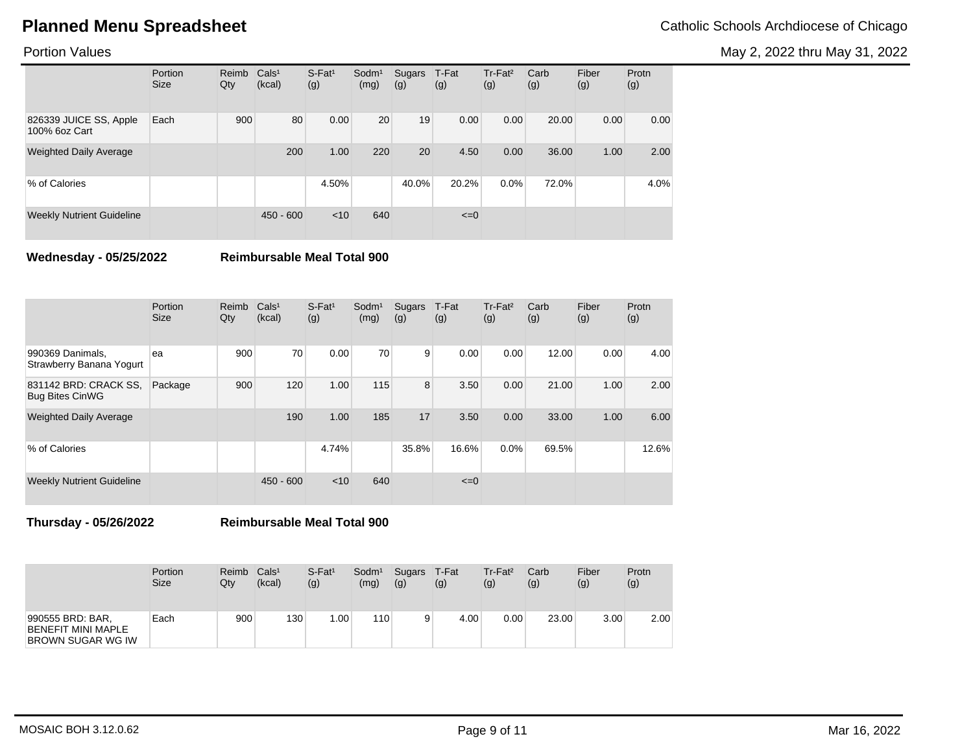May 2, 2022 thru May 31, 2022

## Portion Values

|                                         | Portion<br><b>Size</b> | Reimb<br>Qty | Cals <sup>1</sup><br>(kcal) | $S$ -Fat <sup>1</sup><br>(g) | Sodm <sup>1</sup><br>(mg) | Sugars<br>(g) | T-Fat<br>(g) | Tr-Fat <sup>2</sup><br>(g) | Carb<br>(g) | Fiber<br>(g) | Protn<br>(g) |
|-----------------------------------------|------------------------|--------------|-----------------------------|------------------------------|---------------------------|---------------|--------------|----------------------------|-------------|--------------|--------------|
| 826339 JUICE SS, Apple<br>100% 6oz Cart | Each                   | 900          | 80                          | 0.00                         | 20                        | 19            | 0.00         | 0.00                       | 20.00       | 0.00         | 0.00         |
| <b>Weighted Daily Average</b>           |                        |              | 200                         | 1.00                         | 220                       | 20            | 4.50         | 0.00                       | 36.00       | 1.00         | 2.00         |
| % of Calories                           |                        |              |                             | 4.50%                        |                           | 40.0%         | 20.2%        | $0.0\%$                    | 72.0%       |              | 4.0%         |
| <b>Weekly Nutrient Guideline</b>        |                        |              | $450 - 600$                 | < 10                         | 640                       |               | $\leq=0$     |                            |             |              |              |

**Wednesday - 05/25/2022 Reimbursable Meal Total 900**

|                                                 | Portion<br><b>Size</b> | Reimb<br>Qty | Cals <sup>1</sup><br>(kcal) | $S$ -Fat <sup>1</sup><br>(g) | Sodm <sup>1</sup><br>(mg) | Sugars<br>(g) | T-Fat<br>(g) | Tr-Fat <sup>2</sup><br>(g) | Carb<br>(g) | Fiber<br>(g) | Protn<br>(g) |
|-------------------------------------------------|------------------------|--------------|-----------------------------|------------------------------|---------------------------|---------------|--------------|----------------------------|-------------|--------------|--------------|
| 990369 Danimals,<br>Strawberry Banana Yogurt    | ea                     | 900          | 70                          | 0.00                         | 70                        | 9             | 0.00         | 0.00                       | 12.00       | 0.00         | 4.00         |
| 831142 BRD: CRACK SS.<br><b>Bug Bites CinWG</b> | Package                | 900          | 120                         | 1.00                         | 115                       | 8             | 3.50         | 0.00                       | 21.00       | 1.00         | 2.00         |
| <b>Weighted Daily Average</b>                   |                        |              | 190                         | 1.00                         | 185                       | 17            | 3.50         | 0.00                       | 33.00       | 1.00         | 6.00         |
| % of Calories                                   |                        |              |                             | 4.74%                        |                           | 35.8%         | 16.6%        | 0.0%                       | 69.5%       |              | 12.6%        |
| <b>Weekly Nutrient Guideline</b>                |                        |              | $450 - 600$                 | < 10                         | 640                       |               | $\leq=0$     |                            |             |              |              |

**Thursday - 05/26/2022 Reimbursable Meal Total 900**

|                                                                           | Portion     | Reimb | Cals <sup>1</sup> | $S$ -Fat <sup>1</sup> | Sodm <sup>1</sup> | Sugars | T-Fat | Tr-Fat <sup>2</sup> | Carb  | Fiber | Protn |
|---------------------------------------------------------------------------|-------------|-------|-------------------|-----------------------|-------------------|--------|-------|---------------------|-------|-------|-------|
|                                                                           | <b>Size</b> | Qty   | (kcal)            | (g)                   | (mg)              | (g)    | (g)   | (g)                 | (g)   | (g)   | (g)   |
| 990555 BRD: BAR,<br><b>BENEFIT MINI MAPLE</b><br><b>BROWN SUGAR WG IW</b> | Each        | 900   | 130               | .00 <sub>1</sub>      | 110               | 9      | 4.00  | 0.00                | 23.00 | 3.00  | 2.00  |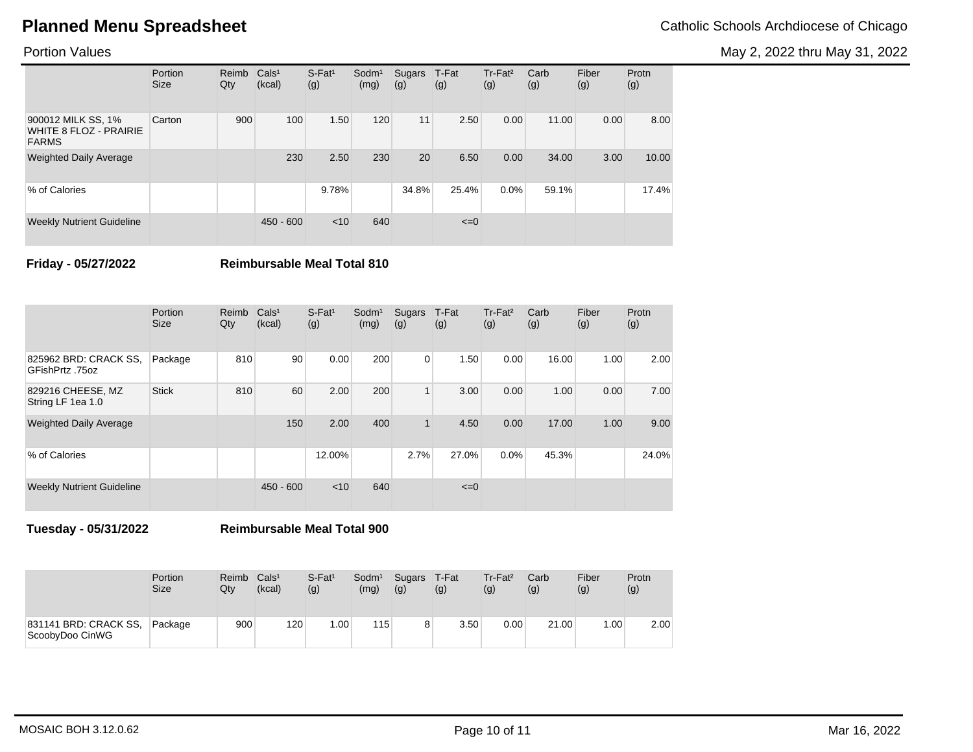May 2, 2022 thru May 31, 2022

## Portion Values

|                                                                     | Portion<br><b>Size</b> | Reimb<br>Qty | Cals <sup>1</sup><br>(kcal) | $S$ -Fat <sup>1</sup><br>(g) | Sodm <sup>1</sup><br>(mg) | Sugars<br>(g) | T-Fat<br>(g) | Tr-Fat <sup>2</sup><br>(g) | Carb<br>(g) | Fiber<br>(g) | Protn<br>(g) |
|---------------------------------------------------------------------|------------------------|--------------|-----------------------------|------------------------------|---------------------------|---------------|--------------|----------------------------|-------------|--------------|--------------|
| 900012 MILK SS, 1%<br><b>WHITE 8 FLOZ - PRAIRIE</b><br><b>FARMS</b> | Carton                 | 900          | 100                         | 1.50                         | 120                       | 11            | 2.50         | 0.00                       | 11.00       | 0.00         | 8.00         |
| <b>Weighted Daily Average</b>                                       |                        |              | 230                         | 2.50                         | 230                       | 20            | 6.50         | 0.00                       | 34.00       | 3.00         | 10.00        |
| % of Calories                                                       |                        |              |                             | 9.78%                        |                           | 34.8%         | 25.4%        | 0.0%                       | 59.1%       |              | 17.4%        |
| <b>Weekly Nutrient Guideline</b>                                    |                        |              | $450 - 600$                 | < 10                         | 640                       |               | $\leq=0$     |                            |             |              |              |

**Friday - 05/27/2022 Reimbursable Meal Total 810**

|                                          | Portion<br><b>Size</b> | Reimb<br>Qty | Cals <sup>1</sup><br>(kcal) | $S$ -Fat <sup>1</sup><br>(g) | Sodm <sup>1</sup><br>(mg) | Sugars<br>(g) | T-Fat<br>(g) | Tr-Fat <sup>2</sup><br>(g) | Carb<br>(g) | Fiber<br>(g) | Protn<br>(g) |
|------------------------------------------|------------------------|--------------|-----------------------------|------------------------------|---------------------------|---------------|--------------|----------------------------|-------------|--------------|--------------|
| 825962 BRD: CRACK SS,<br>GFishPrtz .75oz | Package                | 810          | 90                          | 0.00                         | 200                       | $\mathbf{0}$  | 1.50         | 0.00                       | 16.00       | 1.00         | 2.00         |
| 829216 CHEESE, MZ<br>String LF 1ea 1.0   | <b>Stick</b>           | 810          | 60                          | 2.00                         | 200                       | $\mathbf{1}$  | 3.00         | 0.00                       | 1.00        | 0.00         | 7.00         |
| <b>Weighted Daily Average</b>            |                        |              | 150                         | 2.00                         | 400                       | $\mathbf{1}$  | 4.50         | 0.00                       | 17.00       | 1.00         | 9.00         |
| % of Calories                            |                        |              |                             | 12.00%                       |                           | 2.7%          | 27.0%        | 0.0%                       | 45.3%       |              | 24.0%        |
| <b>Weekly Nutrient Guideline</b>         |                        |              | $450 - 600$                 | < 10                         | 640                       |               | $\leq=0$     |                            |             |              |              |

**Tuesday - 05/31/2022 Reimbursable Meal Total 900**

|                                          | Portion     | Reimb            | Cals <sup>1</sup> | $S$ -Fat <sup>1</sup> | Sodm <sup>1</sup> | Sugars | T-Fat | Tr-Fat <sup>2</sup> | Carb  | Fiber | Protn |
|------------------------------------------|-------------|------------------|-------------------|-----------------------|-------------------|--------|-------|---------------------|-------|-------|-------|
|                                          | <b>Size</b> | Qtv              | (kcal)            | (g)                   | (mg)              | (g)    | (g)   | (g)                 | (g)   | (g)   | (g)   |
| 831141 BRD: CRACK SS,<br>ScoobyDoo CinWG | Package     | 900 <sup>1</sup> | 120               | .00 <sub>1</sub>      | 115               | 8      | 3.50  | 0.00                | 21.00 | .00.  | 2.00  |